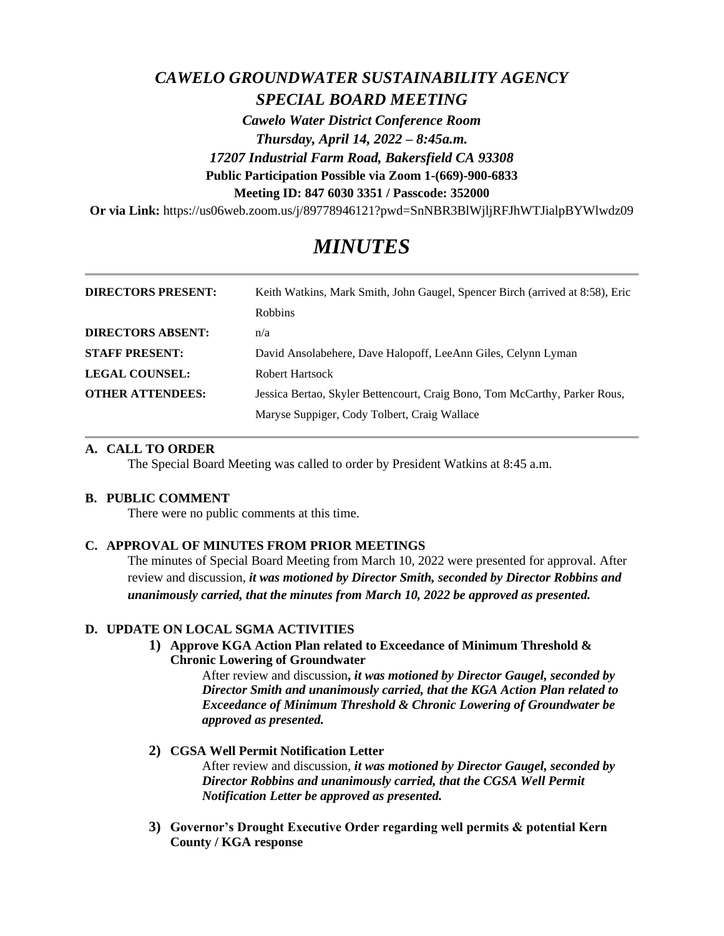# *CAWELO GROUNDWATER SUSTAINABILITY AGENCY SPECIAL BOARD MEETING*

*Cawelo Water District Conference Room Thursday, April 14, 2022 – 8:45a.m. 17207 Industrial Farm Road, Bakersfield CA 93308* **Public Participation Possible via Zoom 1-(669)-900-6833 Meeting ID: 847 6030 3351 / Passcode: 352000**

**Or via Link:** https://us06web.zoom.us/j/89778946121?pwd=SnNBR3BlWjljRFJhWTJialpBYWlwdz09

# *MINUTES*

| <b>DIRECTORS PRESENT:</b> | Keith Watkins, Mark Smith, John Gaugel, Spencer Birch (arrived at 8.58), Eric |
|---------------------------|-------------------------------------------------------------------------------|
|                           | Robbins                                                                       |
| <b>DIRECTORS ABSENT:</b>  | n/a                                                                           |
| <b>STAFF PRESENT:</b>     | David Ansolabehere, Dave Halopoff, LeeAnn Giles, Celynn Lyman                 |
| <b>LEGAL COUNSEL:</b>     | Robert Hartsock                                                               |
| <b>OTHER ATTENDEES:</b>   | Jessica Bertao, Skyler Bettencourt, Craig Bono, Tom McCarthy, Parker Rous,    |
|                           | Maryse Suppiger, Cody Tolbert, Craig Wallace                                  |

# **A. CALL TO ORDER**

The Special Board Meeting was called to order by President Watkins at 8:45 a.m.

#### **B. PUBLIC COMMENT**

There were no public comments at this time.

# **C. APPROVAL OF MINUTES FROM PRIOR MEETINGS**

The minutes of Special Board Meeting from March 10, 2022 were presented for approval. After review and discussion, *it was motioned by Director Smith, seconded by Director Robbins and unanimously carried, that the minutes from March 10, 2022 be approved as presented.*

# **D. UPDATE ON LOCAL SGMA ACTIVITIES**

**1) Approve KGA Action Plan related to Exceedance of Minimum Threshold & Chronic Lowering of Groundwater**

After review and discussion**,** *it was motioned by Director Gaugel, seconded by Director Smith and unanimously carried, that the KGA Action Plan related to Exceedance of Minimum Threshold & Chronic Lowering of Groundwater be approved as presented.*

- **2) CGSA Well Permit Notification Letter** After review and discussion, *it was motioned by Director Gaugel, seconded by Director Robbins and unanimously carried, that the CGSA Well Permit Notification Letter be approved as presented.*
- **3) Governor's Drought Executive Order regarding well permits & potential Kern County / KGA response**